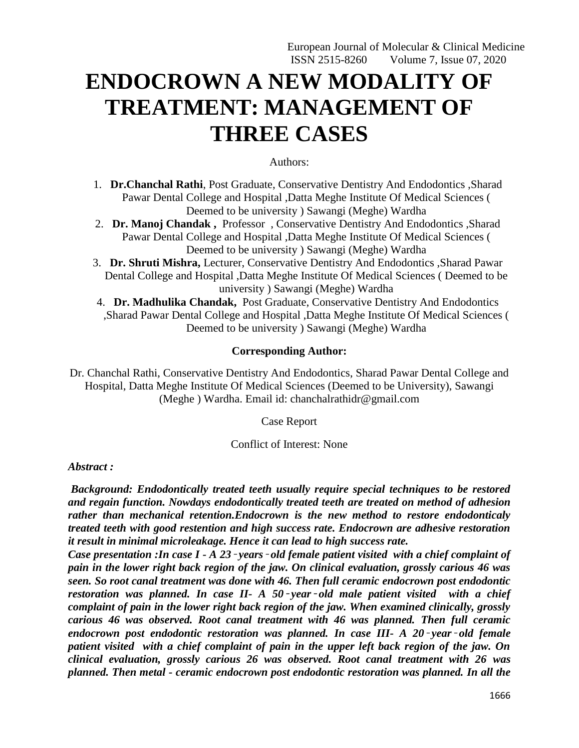# **ENDOCROWN A NEW MODALITY OF TREATMENT: MANAGEMENT OF THREE CASES**

#### Authors:

- 1. **Dr.Chanchal Rathi**, Post Graduate, Conservative Dentistry And Endodontics ,Sharad Pawar Dental College and Hospital ,Datta Meghe Institute Of Medical Sciences ( Deemed to be university ) Sawangi (Meghe) Wardha
- 2. **Dr. Manoj Chandak ,** Professor , Conservative Dentistry And Endodontics ,Sharad Pawar Dental College and Hospital ,Datta Meghe Institute Of Medical Sciences ( Deemed to be university ) Sawangi (Meghe) Wardha
- 3. **Dr. Shruti Mishra,** Lecturer, Conservative Dentistry And Endodontics ,Sharad Pawar Dental College and Hospital ,Datta Meghe Institute Of Medical Sciences ( Deemed to be university ) Sawangi (Meghe) Wardha
- 4. **Dr. Madhulika Chandak,** Post Graduate, Conservative Dentistry And Endodontics ,Sharad Pawar Dental College and Hospital ,Datta Meghe Institute Of Medical Sciences ( Deemed to be university ) Sawangi (Meghe) Wardha

### **Corresponding Author:**

Dr. Chanchal Rathi, Conservative Dentistry And Endodontics, Sharad Pawar Dental College and Hospital, Datta Meghe Institute Of Medical Sciences (Deemed to be University), Sawangi (Meghe ) Wardha. Email id: chanchalrathidr@gmail.com

Case Report

#### Conflict of Interest: None

#### *Abstract :*

*Background: Endodontically treated teeth usually require special techniques to be restored and regain function. Nowdays endodontically treated teeth are treated on method of adhesion rather than mechanical retention.Endocrown is the new method to restore endodonticaly treated teeth with good restention and high success rate. Endocrown are adhesive restoration it result in minimal microleakage. Hence it can lead to high success rate.*

*Case presentation :In case I - A 23*‑ *years*‑ *old female patient visited with a chief complaint of pain in the lower right back region of the jaw. On clinical evaluation, grossly carious 46 was seen. So root canal treatment was done with 46. Then full ceramic endocrown post endodontic restoration was planned. In case II- A 50*‑ *year*‑ *old male patient visited with a chief complaint of pain in the lower right back region of the jaw. When examined clinically, grossly carious 46 was observed. Root canal treatment with 46 was planned. Then full ceramic endocrown post endodontic restoration was planned. In case III- A 20*‑ *year*‑ *old female patient visited with a chief complaint of pain in the upper left back region of the jaw. On clinical evaluation, grossly carious 26 was observed. Root canal treatment with 26 was planned. Then metal - ceramic endocrown post endodontic restoration was planned. In all the*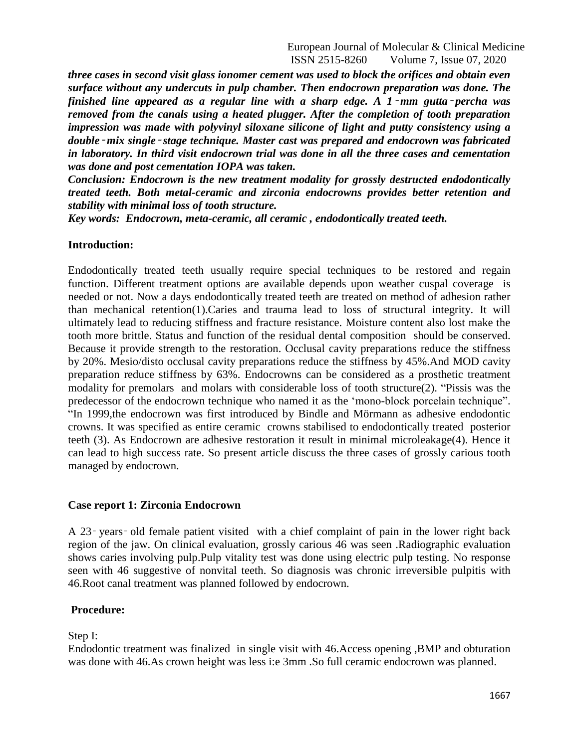European Journal of Molecular & Clinical Medicine ISSN 2515-8260 Volume 7, Issue 07, 2020

*three cases in second visit glass ionomer cement was used to block the orifices and obtain even surface without any undercuts in pulp chamber. Then endocrown preparation was done. The finished line appeared as a regular line with a sharp edge. A 1*‑ *mm gutta*‑ *percha was removed from the canals using a heated plugger. After the completion of tooth preparation impression was made with polyvinyl siloxane silicone of light and putty consistency using a double*‑*mix single*‑ *stage technique. Master cast was prepared and endocrown was fabricated in laboratory. In third visit endocrown trial was done in all the three cases and cementation was done and post cementation IOPA was taken.*

*Conclusion: Endocrown is the new treatment modality for grossly destructed endodontically treated teeth. Both metal-ceramic and zirconia endocrowns provides better retention and stability with minimal loss of tooth structure.*

*Key words: Endocrown, meta-ceramic, all ceramic , endodontically treated teeth.*

#### **Introduction:**

Endodontically treated teeth usually require special techniques to be restored and regain function. Different treatment options are available depends upon weather cuspal coverage is needed or not. Now a days endodontically treated teeth are treated on method of adhesion rather than mechanical retention(1).Caries and trauma lead to loss of structural integrity. It will ultimately lead to reducing stiffness and fracture resistance. Moisture content also lost make the tooth more brittle. Status and function of the residual dental composition should be conserved. Because it provide strength to the restoration. Occlusal cavity preparations reduce the stiffness by 20%. Mesio/disto occlusal cavity preparations reduce the stiffness by 45%.And MOD cavity preparation reduce stiffness by 63%. Endocrowns can be considered as a prosthetic treatment modality for premolars and molars with considerable loss of tooth structure(2). "Pissis was the predecessor of the endocrown technique who named it as the "mono-block porcelain technique". "In 1999,the endocrown was first introduced by Bindle and Mörmann as adhesive endodontic crowns. It was specified as entire ceramic crowns stabilised to endodontically treated posterior teeth (3). As Endocrown are adhesive restoration it result in minimal microleakage(4). Hence it can lead to high success rate. So present article discuss the three cases of grossly carious tooth managed by endocrown.

#### **Case report 1: Zirconia Endocrown**

A 23‑ years‑ old female patient visited with a chief complaint of pain in the lower right back region of the jaw. On clinical evaluation, grossly carious 46 was seen .Radiographic evaluation shows caries involving pulp.Pulp vitality test was done using electric pulp testing. No response seen with 46 suggestive of nonvital teeth. So diagnosis was chronic irreversible pulpitis with 46.Root canal treatment was planned followed by endocrown.

#### **Procedure:**

Step I:

Endodontic treatment was finalized in single visit with 46.Access opening ,BMP and obturation was done with 46.As crown height was less i:e 3mm .So full ceramic endocrown was planned.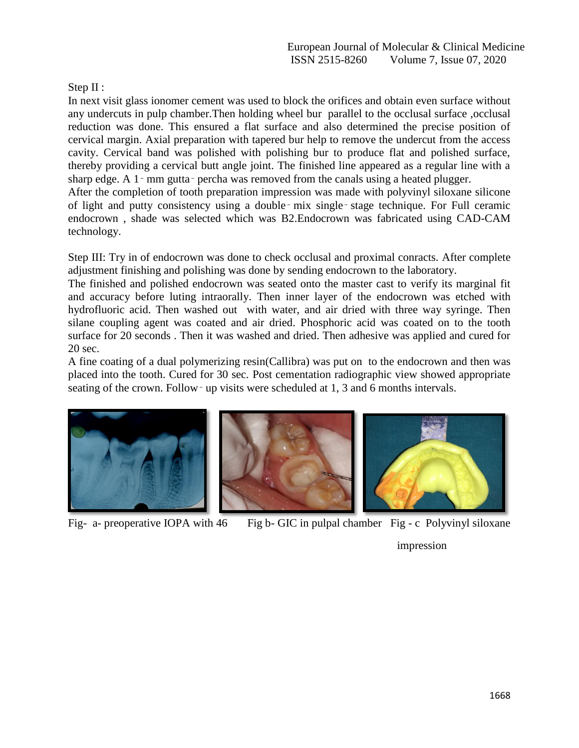Step II :

In next visit glass ionomer cement was used to block the orifices and obtain even surface without any undercuts in pulp chamber.Then holding wheel bur parallel to the occlusal surface ,occlusal reduction was done. This ensured a flat surface and also determined the precise position of cervical margin. Axial preparation with tapered bur help to remove the undercut from the access cavity. Cervical band was polished with polishing bur to produce flat and polished surface, thereby providing a cervical butt angle joint. The finished line appeared as a regular line with a sharp edge. A 1– mm gutta– percha was removed from the canals using a heated plugger.

After the completion of tooth preparation impression was made with polyvinyl siloxane silicone of light and putty consistency using a double‑ mix single‑ stage technique. For Full ceramic endocrown , shade was selected which was B2.Endocrown was fabricated using CAD-CAM technology.

Step III: Try in of endocrown was done to check occlusal and proximal conracts. After complete adjustment finishing and polishing was done by sending endocrown to the laboratory.

The finished and polished endocrown was seated onto the master cast to verify its marginal fit and accuracy before luting intraorally. Then inner layer of the endocrown was etched with hydrofluoric acid. Then washed out with water, and air dried with three way syringe. Then silane coupling agent was coated and air dried. Phosphoric acid was coated on to the tooth surface for 20 seconds . Then it was washed and dried. Then adhesive was applied and cured for 20 sec.

A fine coating of a dual polymerizing resin(Callibra) was put on to the endocrown and then was placed into the tooth. Cured for 30 sec. Post cementation radiographic view showed appropriate seating of the crown. Follow–up visits were scheduled at 1, 3 and 6 months intervals.



Fig- a- preoperative IOPA with 46 Fig b- GIC in pulpal chamber Fig - c Polyvinyl siloxane

impression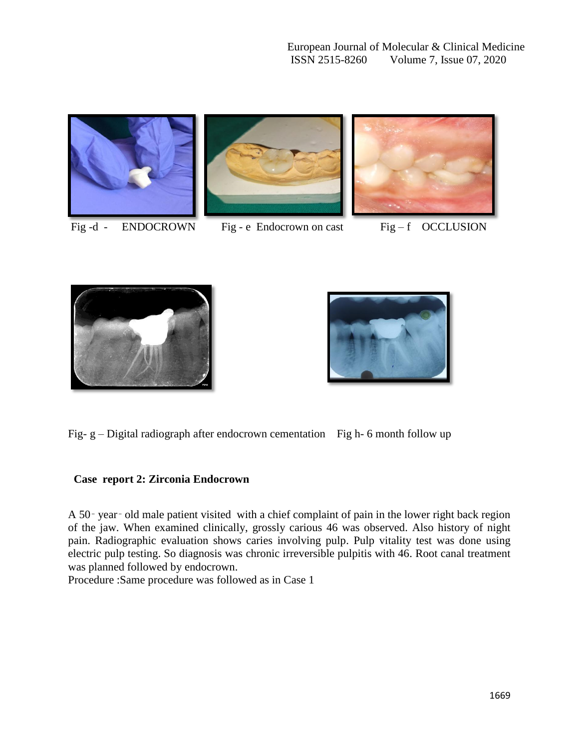







Fig -d - ENDOCROWN Fig - e Endocrown on cast Fig - f OCCLUSION





Fig-  $g$  – Digital radiograph after endocrown cementation Fig h- 6 month follow up

# **Case report 2: Zirconia Endocrown**

A 50‑ year‑ old male patient visited with a chief complaint of pain in the lower right back region of the jaw. When examined clinically, grossly carious 46 was observed. Also history of night pain. Radiographic evaluation shows caries involving pulp. Pulp vitality test was done using electric pulp testing. So diagnosis was chronic irreversible pulpitis with 46. Root canal treatment was planned followed by endocrown.

Procedure :Same procedure was followed as in Case 1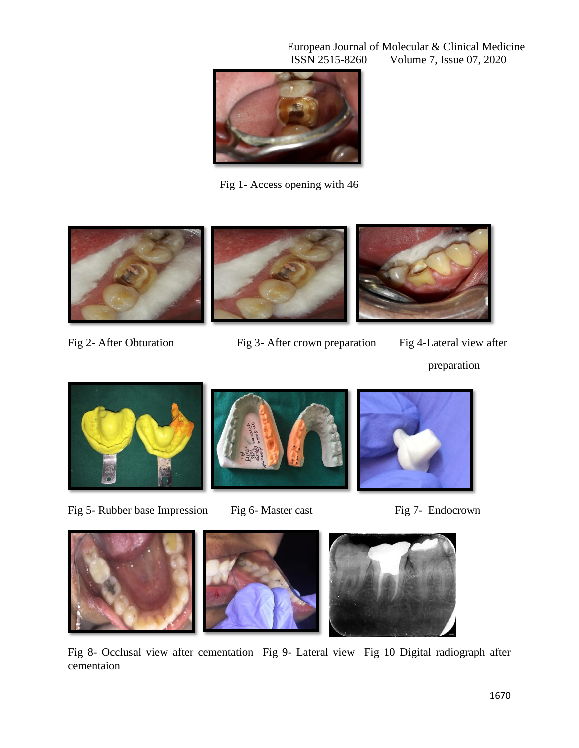European Journal of Molecular & Clinical Medicine<br>ISSN 2515-8260 Volume 7, Issue 07, 2020 Volume 7, Issue 07, 2020



Fig 1- Access opening with 46



Fig 2- After Obturation Fig 3- After crown preparation Fig 4-Lateral view after





Fig 5- Rubber base Impression Fig 6- Master cast Fig 7- Endocrown





Fig 8- Occlusal view after cementation Fig 9- Lateral view Fig 10 Digital radiograph after cementaion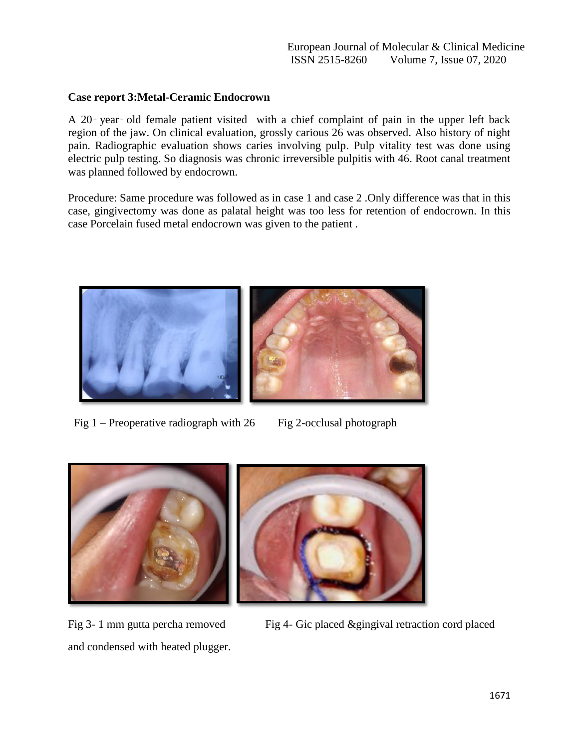## **Case report 3:Metal-Ceramic Endocrown**

A 20‑ year‑ old female patient visited with a chief complaint of pain in the upper left back region of the jaw. On clinical evaluation, grossly carious 26 was observed. Also history of night pain. Radiographic evaluation shows caries involving pulp. Pulp vitality test was done using electric pulp testing. So diagnosis was chronic irreversible pulpitis with 46. Root canal treatment was planned followed by endocrown.

Procedure: Same procedure was followed as in case 1 and case 2 .Only difference was that in this case, gingivectomy was done as palatal height was too less for retention of endocrown. In this case Porcelain fused metal endocrown was given to the patient .



Fig  $1$  – Preoperative radiograph with  $26$  Fig 2-occlusal photograph



and condensed with heated plugger.

Fig 3- 1 mm gutta percha removed Fig 4- Gic placed &gingival retraction cord placed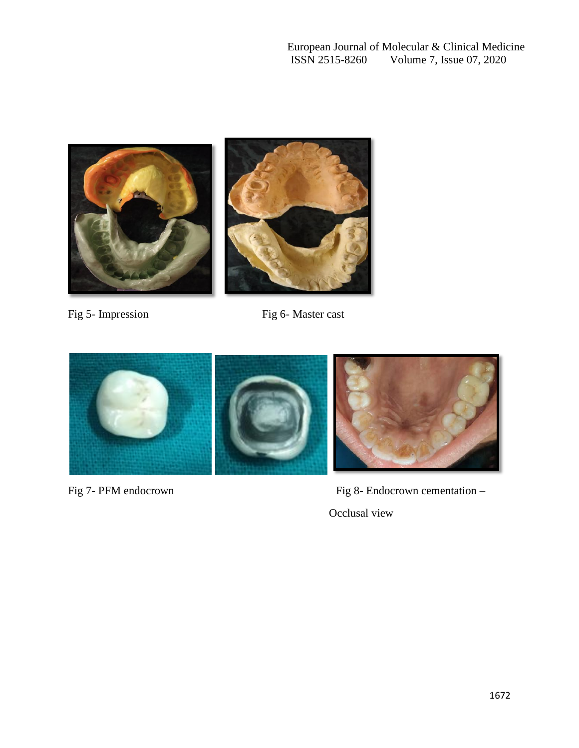European Journal of Molecular & Clinical Medicine<br>ISSN 2515-8260 Volume 7, Issue 07, 2020 Volume 7, Issue 07, 2020



Fig 5- Impression Fig 6- Master cast



Fig 7- PFM endocrown Fig 8- Endocrown cementation – Occlusal view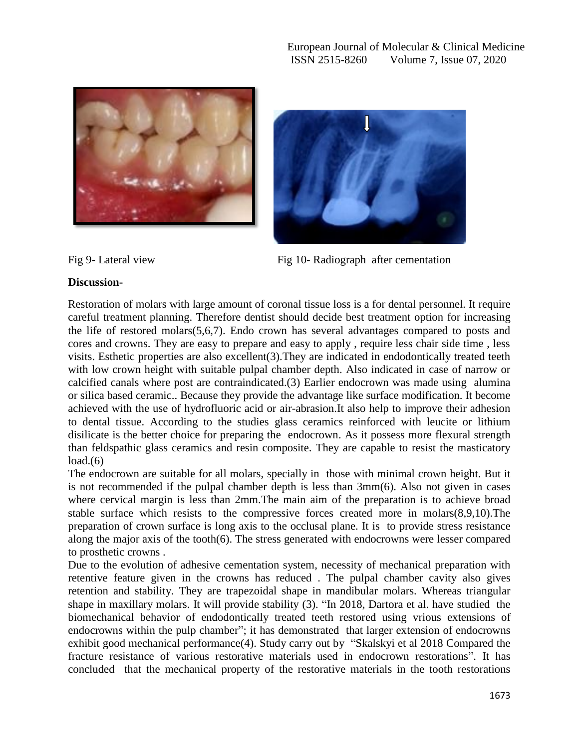



Fig 9- Lateral view Fig 10- Radiograph after cementation

# **Discussion-**

Restoration of molars with large amount of coronal tissue loss is a for dental personnel. It require careful treatment planning. Therefore dentist should decide best treatment option for increasing the life of restored molars(5,6,7). Endo crown has several advantages compared to posts and cores and crowns. They are easy to prepare and easy to apply , require less chair side time , less visits. Esthetic properties are also excellent(3).They are indicated in endodontically treated teeth with low crown height with suitable pulpal chamber depth. Also indicated in case of narrow or calcified canals where post are contraindicated.(3) Earlier endocrown was made using alumina or silica based ceramic.. Because they provide the advantage like surface modification. It become achieved with the use of hydrofluoric acid or air-abrasion.It also help to improve their adhesion to dental tissue. According to the studies glass ceramics reinforced with leucite or lithium disilicate is the better choice for preparing the endocrown. As it possess more flexural strength than feldspathic glass ceramics and resin composite. They are capable to resist the masticatory  $load(6)$ 

The endocrown are suitable for all molars, specially in those with minimal crown height. But it is not recommended if the pulpal chamber depth is less than 3mm(6). Also not given in cases where cervical margin is less than 2mm.The main aim of the preparation is to achieve broad stable surface which resists to the compressive forces created more in molars(8,9,10).The preparation of crown surface is long axis to the occlusal plane. It is to provide stress resistance along the major axis of the tooth(6). The stress generated with endocrowns were lesser compared to prosthetic crowns .

Due to the evolution of adhesive cementation system, necessity of mechanical preparation with retentive feature given in the crowns has reduced . The pulpal chamber cavity also gives retention and stability. They are trapezoidal shape in mandibular molars. Whereas triangular shape in maxillary molars. It will provide stability (3). "In 2018, Dartora et al. have studied the biomechanical behavior of endodontically treated teeth restored using vrious extensions of endocrowns within the pulp chamber"; it has demonstrated that larger extension of endocrowns exhibit good mechanical performance(4). Study carry out by "Skalskyi et al 2018 Compared the fracture resistance of various restorative materials used in endocrown restorations". It has concluded that the mechanical property of the restorative materials in the tooth restorations